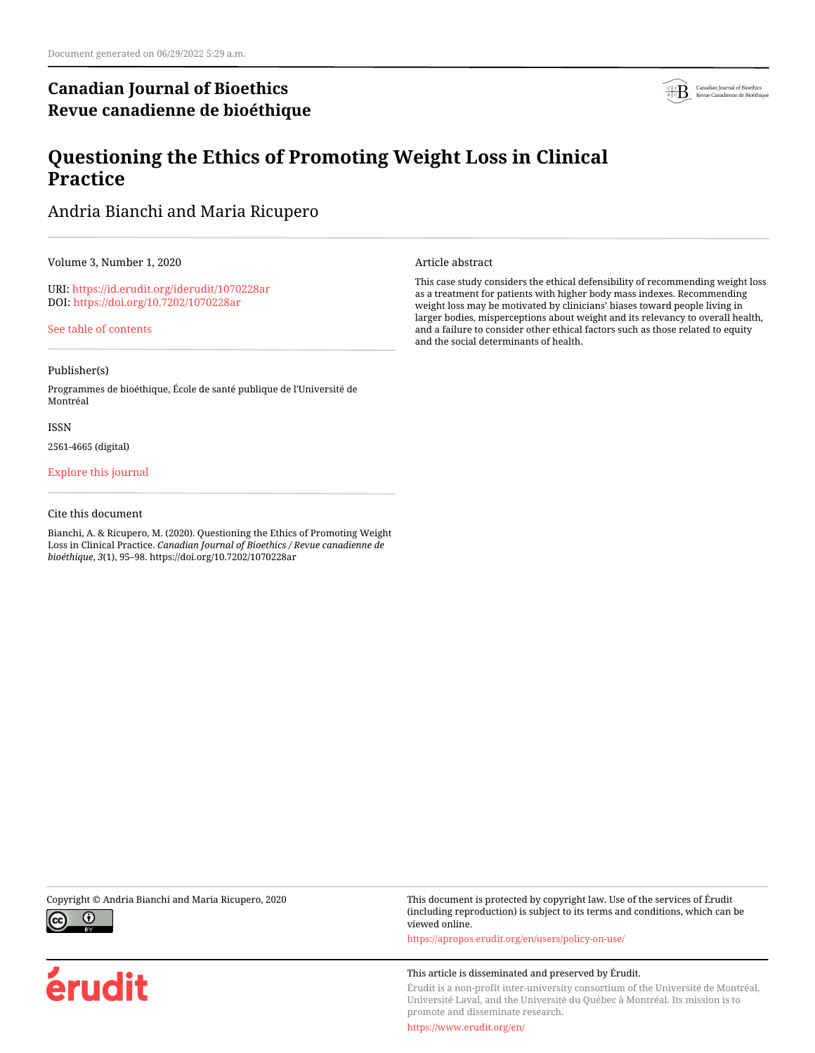# **Canadian Journal of Bioethics Revue canadienne de bioéthique**



# **Questioning the Ethics of Promoting Weight Loss in Clinical Practice**

Andria Bianchi and Maria Ricupero

Volume 3, Number 1, 2020

URI:<https://id.erudit.org/iderudit/1070228ar> DOI:<https://doi.org/10.7202/1070228ar>

[See table of contents](https://www.erudit.org/en/journals/bioethics/2020-v3-n1-bioethics05237/)

### Publisher(s)

Programmes de bioéthique, École de santé publique de l'Université de Montréal

#### ISSN

2561-4665 (digital)

### [Explore this journal](https://www.erudit.org/en/journals/bioethics/)

### Cite this document

Bianchi, A. & Ricupero, M. (2020). Questioning the Ethics of Promoting Weight Loss in Clinical Practice. *Canadian Journal of Bioethics / Revue canadienne de bioéthique*, *3*(1), 95–98. https://doi.org/10.7202/1070228ar

Article abstract

This case study considers the ethical defensibility of recommending weight loss as a treatment for patients with higher body mass indexes. Recommending weight loss may be motivated by clinicians' biases toward people living in larger bodies, misperceptions about weight and its relevancy to overall health, and a failure to consider other ethical factors such as those related to equity and the social determinants of health.



érudit

Copyright © Andria Bianchi and Maria Ricupero, 2020 This document is protected by copyright law. Use of the services of Érudit (including reproduction) is subject to its terms and conditions, which can be viewed online.

<https://apropos.erudit.org/en/users/policy-on-use/>

#### This article is disseminated and preserved by Érudit.

Érudit is a non-profit inter-university consortium of the Université de Montréal, Université Laval, and the Université du Québec à Montréal. Its mission is to promote and disseminate research.

<https://www.erudit.org/en/>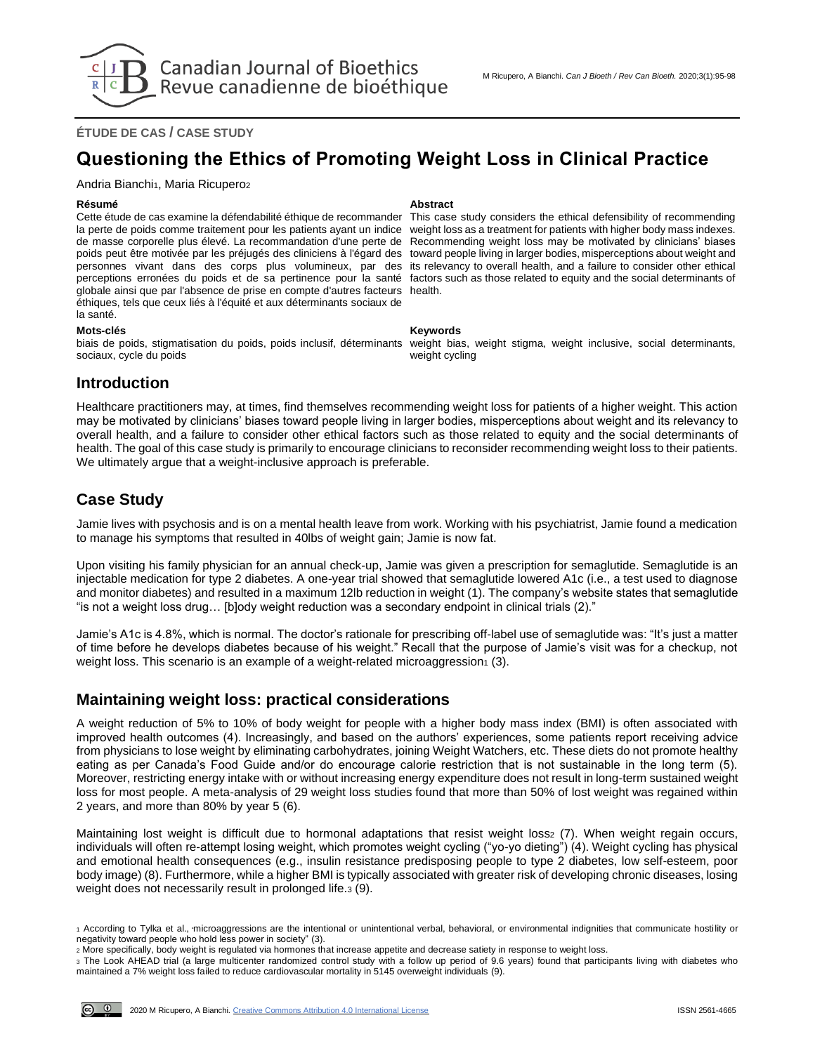**ÉTUDE DE CAS / CASE STUDY**

# **Questioning the Ethics of Promoting Weight Loss in Clinical Practice**

Andria Bianchi<sub>1</sub>, Maria Ricupero<sub>2</sub>

Cette étude de cas examine la défendabilité éthique de recommander la perte de poids comme traitement pour les patients ayant un indice de masse corporelle plus élevé. La recommandation d'une perte de poids peut être motivée par les préjugés des cliniciens à l'égard des personnes vivant dans des corps plus volumineux, par des perceptions erronées du poids et de sa pertinence pour la santé factors such as those related to equity and the social determinants of globale ainsi que par l'absence de prise en compte d'autres facteurs health. éthiques, tels que ceux liés à l'équité et aux déterminants sociaux de la santé.

#### **Mots-clés Keywords**

biais de poids, stigmatisation du poids, poids inclusif, déterminants sociaux, cycle du poids

#### **Résumé Abstract**

This case study considers the ethical defensibility of recommending weight loss as a treatment for patients with higher body mass indexes. Recommending weight loss may be motivated by clinicians' biases toward people living in larger bodies, misperceptions about weight and its relevancy to overall health, and a failure to consider other ethical

weight bias, weight stigma, weight inclusive, social determinants, weight cycling

## **Introduction**

Healthcare practitioners may, at times, find themselves recommending weight loss for patients of a higher weight. This action may be motivated by clinicians' biases toward people living in larger bodies, misperceptions about weight and its relevancy to overall health, and a failure to consider other ethical factors such as those related to equity and the social determinants of health. The goal of this case study is primarily to encourage clinicians to reconsider recommending weight loss to their patients. We ultimately argue that a weight-inclusive approach is preferable.

## **Case Study**

Jamie lives with psychosis and is on a mental health leave from work. Working with his psychiatrist, Jamie found a medication to manage his symptoms that resulted in 40lbs of weight gain; Jamie is now fat.

Upon visiting his family physician for an annual check-up, Jamie was given a prescription for semaglutide. Semaglutide is an injectable medication for type 2 diabetes. A one-year trial showed that semaglutide lowered A1c (i.e., a test used to diagnose and monitor diabetes) and resulted in a maximum 12lb reduction in weight (1). The company's website states that semaglutide "is not a weight loss drug… [b]ody weight reduction was a secondary endpoint in clinical trials (2)."

Jamie's A1c is 4.8%, which is normal. The doctor's rationale for prescribing off-label use of semaglutide was: "It's just a matter of time before he develops diabetes because of his weight." Recall that the purpose of Jamie's visit was for a checkup, not weight loss. This scenario is an example of a weight-related microaggression  $(3)$ .

## **Maintaining weight loss: practical considerations**

A weight reduction of 5% to 10% of body weight for people with a higher body mass index (BMI) is often associated with improved health outcomes (4). Increasingly, and based on the authors' experiences, some patients report receiving advice from physicians to lose weight by eliminating carbohydrates, joining Weight Watchers, etc. These diets do not promote healthy eating as per Canada's Food Guide and/or do encourage calorie restriction that is not sustainable in the long term (5). Moreover, restricting energy intake with or without increasing energy expenditure does not result in long-term sustained weight loss for most people. A meta-analysis of 29 weight loss studies found that more than 50% of lost weight was regained within 2 years, and more than 80% by year 5 (6).

Maintaining lost weight is difficult due to hormonal adaptations that resist weight loss2 (7). When weight regain occurs, individuals will often re-attempt losing weight, which promotes weight cycling ("yo-yo dieting") (4). Weight cycling has physical and emotional health consequences (e.g., insulin resistance predisposing people to type 2 diabetes, low self-esteem, poor body image) (8). Furthermore, while a higher BMI is typically associated with greater risk of developing chronic diseases, losing weight does not necessarily result in prolonged life.<sup>3</sup> (9).



<sup>1</sup> According to Tylka et al., "microaggressions are the intentional or unintentional verbal, behavioral, or environmental indignities that communicate hostility or negativity toward people who hold less power in society" (3).

<sup>2</sup> More specifically, body weight is regulated via hormones that increase appetite and decrease satiety in response to weight loss.

<sup>3</sup> The Look AHEAD trial (a large multicenter randomized control study with a follow up period of 9.6 years) found that participants living with diabetes who maintained a 7% weight loss failed to reduce cardiovascular mortality in 5145 overweight individuals (9).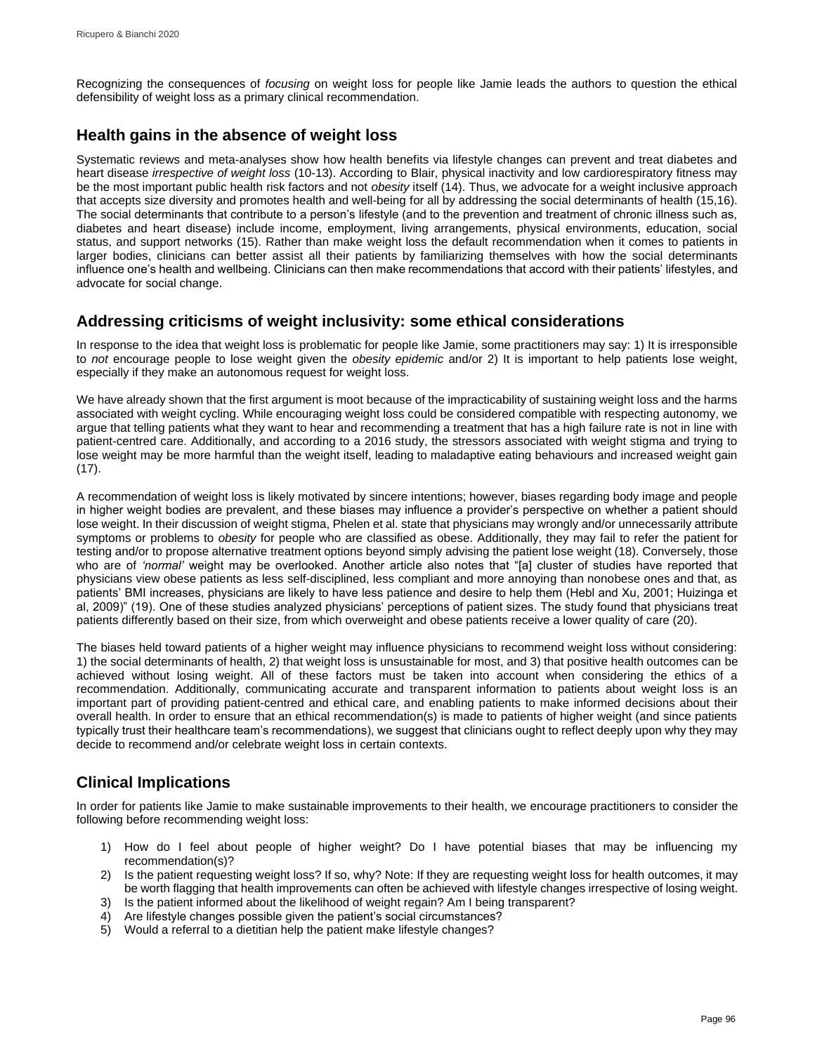Recognizing the consequences of *focusing* on weight loss for people like Jamie leads the authors to question the ethical defensibility of weight loss as a primary clinical recommendation.

## **Health gains in the absence of weight loss**

Systematic reviews and meta-analyses show how health benefits via lifestyle changes can prevent and treat diabetes and heart disease *irrespective of weight loss* (10-13). According to Blair, physical inactivity and low cardiorespiratory fitness may be the most important public health risk factors and not *obesity* itself (14). Thus, we advocate for a weight inclusive approach that accepts size diversity and promotes health and well-being for all by addressing the social determinants of health (15,16). The social determinants that contribute to a person's lifestyle (and to the prevention and treatment of chronic illness such as, diabetes and heart disease) include income, employment, living arrangements, physical environments, education, social status, and support networks (15). Rather than make weight loss the default recommendation when it comes to patients in larger bodies, clinicians can better assist all their patients by familiarizing themselves with how the social determinants influence one's health and wellbeing. Clinicians can then make recommendations that accord with their patients' lifestyles, and advocate for social change.

## **Addressing criticisms of weight inclusivity: some ethical considerations**

In response to the idea that weight loss is problematic for people like Jamie, some practitioners may say: 1) It is irresponsible to *not* encourage people to lose weight given the *obesity epidemic* and/or 2) It is important to help patients lose weight, especially if they make an autonomous request for weight loss.

We have already shown that the first argument is moot because of the impracticability of sustaining weight loss and the harms associated with weight cycling. While encouraging weight loss could be considered compatible with respecting autonomy, we argue that telling patients what they want to hear and recommending a treatment that has a high failure rate is not in line with patient-centred care. Additionally, and according to a 2016 study, the stressors associated with weight stigma and trying to lose weight may be more harmful than the weight itself, leading to maladaptive eating behaviours and increased weight gain (17).

A recommendation of weight loss is likely motivated by sincere intentions; however, biases regarding body image and people in higher weight bodies are prevalent, and these biases may influence a provider's perspective on whether a patient should lose weight. In their discussion of weight stigma, Phelen et al. state that physicians may wrongly and/or unnecessarily attribute symptoms or problems to *obesity* for people who are classified as obese. Additionally, they may fail to refer the patient for testing and/or to propose alternative treatment options beyond simply advising the patient lose weight (18). Conversely, those who are of *'normal'* weight may be overlooked. Another article also notes that "[a] cluster of studies have reported that physicians view obese patients as less self-disciplined, less compliant and more annoying than nonobese ones and that, as patients' BMI increases, physicians are likely to have less patience and desire to help them (Hebl and Xu, 2001; Huizinga et al, 2009)" (19). One of these studies analyzed physicians' perceptions of patient sizes. The study found that physicians treat patients differently based on their size, from which overweight and obese patients receive a lower quality of care (20).

The biases held toward patients of a higher weight may influence physicians to recommend weight loss without considering: 1) the social determinants of health, 2) that weight loss is unsustainable for most, and 3) that positive health outcomes can be achieved without losing weight. All of these factors must be taken into account when considering the ethics of a recommendation. Additionally, communicating accurate and transparent information to patients about weight loss is an important part of providing patient-centred and ethical care, and enabling patients to make informed decisions about their overall health. In order to ensure that an ethical recommendation(s) is made to patients of higher weight (and since patients typically trust their healthcare team's recommendations), we suggest that clinicians ought to reflect deeply upon why they may decide to recommend and/or celebrate weight loss in certain contexts.

## **Clinical Implications**

In order for patients like Jamie to make sustainable improvements to their health, we encourage practitioners to consider the following before recommending weight loss:

- 1) How do I feel about people of higher weight? Do I have potential biases that may be influencing my recommendation(s)?
- 2) Is the patient requesting weight loss? If so, why? Note: If they are requesting weight loss for health outcomes, it may be worth flagging that health improvements can often be achieved with lifestyle changes irrespective of losing weight.
- 3) Is the patient informed about the likelihood of weight regain? Am I being transparent?
- 4) Are lifestyle changes possible given the patient's social circumstances?
- 5) Would a referral to a dietitian help the patient make lifestyle changes?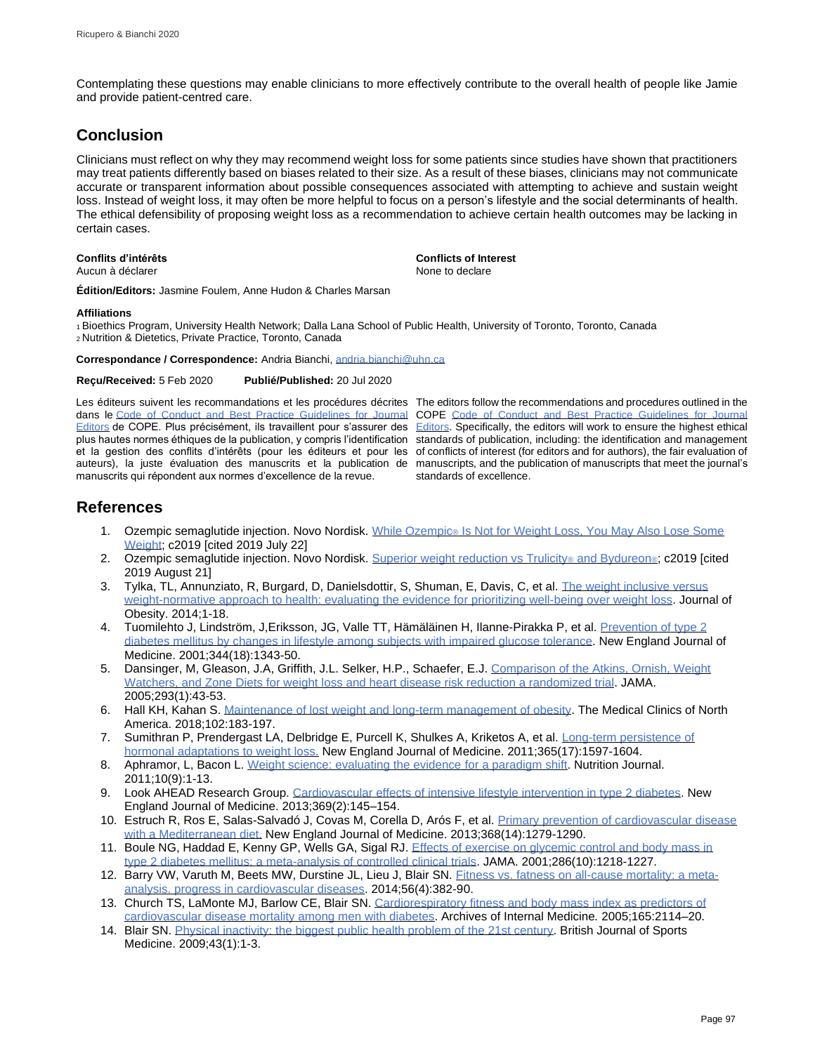Contemplating these questions may enable clinicians to more effectively contribute to the overall health of people like Jamie and provide patient-centred care.

## **Conclusion**

Clinicians must reflect on why they may recommend weight loss for some patients since studies have shown that practitioners may treat patients differently based on biases related to their size. As a result of these biases, clinicians may not communicate accurate or transparent information about possible consequences associated with attempting to achieve and sustain weight loss. Instead of weight loss, it may often be more helpful to focus on a person's lifestyle and the social determinants of health. The ethical defensibility of proposing weight loss as a recommendation to achieve certain health outcomes may be lacking in certain cases.

Aucun à déclarer

**Conflits d'intérêts Conflicts of Interest**

**Édition/Editors:** Jasmine Foulem, Anne Hudon & Charles Marsan

### **Affiliations**

<sup>1</sup>Bioethics Program, University Health Network; Dalla Lana School of Public Health, University of Toronto, Toronto, Canada <sup>2</sup>Nutrition & Dietetics, Private Practice, Toronto, Canada

**Correspondance / Correspondence:** Andria Bianchi[, andria.bianchi@uhn.ca](mailto:andria.bianchi@uhn.ca)

**Reçu/Received:** 5 Feb 2020 **Publié/Published:** 20 Jul 2020

Les éditeurs suivent les recommandations et les procédures décrites The editors follow the recommendations and procedures outlined in the dans le [Code of Conduct and Best Practice Guidelines for Journal](http://publicationethics.org/resources/code-conduct)  [Editors](http://publicationethics.org/resources/code-conduct) de COPE. Plus précisément, ils travaillent pour s'assurer des [Editors.](http://publicationethics.org/resources/code-conduct) Specifically, the editors will work to ensure the highest ethical plus hautes normes éthiques de la publication, y compris l'identification standards of publication, including: the identification and management et la gestion des conflits d'intérêts (pour les éditeurs et pour les of conflicts of interest (for editors and for authors), the fair evaluation of auteurs), la juste évaluation des manuscrits et la publication de manuscripts, and the publication of manuscripts that meet the journal's manuscrits qui répondent aux normes d'excellence de la revue.

COPE [Code of Conduct and Best Practice Guidelines for Journal](http://publicationethics.org/resources/code-conduct)  standards of excellence.

## **References**

- 1. Ozempic semaglutide injection. Novo Nordisk. While Ozempic® Is Not for Weight Loss, You May Also Lose Some [Weight;](https://www.ozempic.com/about/weight.html) c2019 [cited 2019 July 22]
- 2. Ozempic semaglutide injection. Novo Nordisk[. Superior weight reduction vs Trulicity](https://www.ozempicpro.com/clinical-data/ozempic-and-weight.html)® and Bydureon®: c2019 [cited 2019 August 21]
- 3. Tylka, TL, Annunziato, R, Burgard, D, Danielsdottir, S, Shuman, E, Davis, C, et al. [The weight inclusive versus](https://www.hindawi.com/journals/jobe/2014/983495/)  [weight-normative approach to health: evaluating the evidence for prioritizing well-being over weight loss.](https://www.hindawi.com/journals/jobe/2014/983495/) Journal of Obesity. 2014;1-18.
- 4. Tuomilehto J, Lindström, J,Eriksson, JG, Valle TT, Hämäläinen H, Ilanne-Pirakka P, et al. Prevention of type 2 [diabetes mellitus by changes in lifestyle among subjects with impaired glucose tolerance.](https://www.nejm.org/doi/full/10.1056/nejm200105033441801) New England Journal of Medicine. 2001;344(18):1343-50.
- 5. Dansinger, M, Gleason, J.A, Griffith, J.L. Selker, H.P., Schaefer, E.J. [Comparison of the Atkins, Ornish, Weight](https://jamanetwork.com/journals/jama/fullarticle/200094)  [Watchers, and Zone Diets for weight loss and heart disease risk reduction a randomized trial.](https://jamanetwork.com/journals/jama/fullarticle/200094) JAMA. 2005;293(1):43-53.
- 6. Hall KH, Kahan S. Maintenance of [lost weight and long-term management of obesity.](https://www.medical.theclinics.com/article/S0025-7125(17)30136-0/abstract) The Medical Clinics of North America. 2018;102:183-197.
- 7. Sumithran P, Prendergast LA, Delbridge E, Purcell K, Shulkes A, Kriketos A, et al. Long-term persistence of [hormonal adaptations to weight loss.](https://www.nejm.org/doi/full/10.1056/NEJMoa1105816) New England Journal of Medicine. 2011;365(17):1597-1604.
- 8. Aphramor, L, Bacon L. [Weight science: evaluating the evidence for a paradigm shift.](https://nutritionj.biomedcentral.com/articles/10.1186/1475-2891-10-9) Nutrition Journal. 2011;10(9):1-13.
- 9. Look AHEAD Research Group. [Cardiovascular effects of intensive lifestyle intervention in type 2 diabetes.](https://www.nejm.org/doi/full/10.1056/nejmoa1212914) New England Journal of Medicine. 2013;369(2):145–154.
- 10. Estruch R, Ros E, Salas-Salvadó J, Covas M, Corella D, Arós F, et al. Primary prevention of cardiovascular disease [with a Mediterranean diet.](https://www.nejm.org/doi/full/10.1056/NEJMoa1800389) New England Journal of Medicine. 2013;368(14):1279-1290.
- 11. Boule NG, Haddad E, Kenny GP, Wells GA, Sigal RJ. Effects of exercise on glycemic control and body mass in [type 2 diabetes mellitus: a meta-analysis of controlled clinical trials.](https://jamanetwork.com/journals/jama/article-abstract/194184) JAMA. 2001;286(10):1218-1227.
- 12. Barry VW, Varuth M, Beets MW, Durstine JL, Lieu J, Blair SN. [Fitness vs. fatness on all-cause mortality: a meta](https://www.sciencedirect.com/science/article/abs/pii/S0033062013001552)[analysis. progress in cardiovascular diseases.](https://www.sciencedirect.com/science/article/abs/pii/S0033062013001552) 2014;56(4):382-90.
- 13. Church TS, LaMonte MJ, Barlow CE, Blair SN[. Cardiorespiratory fitness and body mass index as predictors of](https://jamanetwork.com/journals/jamainternalmedicine/fullarticle/486727)  [cardiovascular disease mortality among men with diabetes.](https://jamanetwork.com/journals/jamainternalmedicine/fullarticle/486727) Archives of Internal Medicine*.* 2005;165:2114–20.
- 14. Blair SN[. Physical inactivity: the biggest public health problem of the 21st century.](https://bjsm.bmj.com/content/43/1/1) British Journal of Sports Medicine. 2009;43(1):1-3.